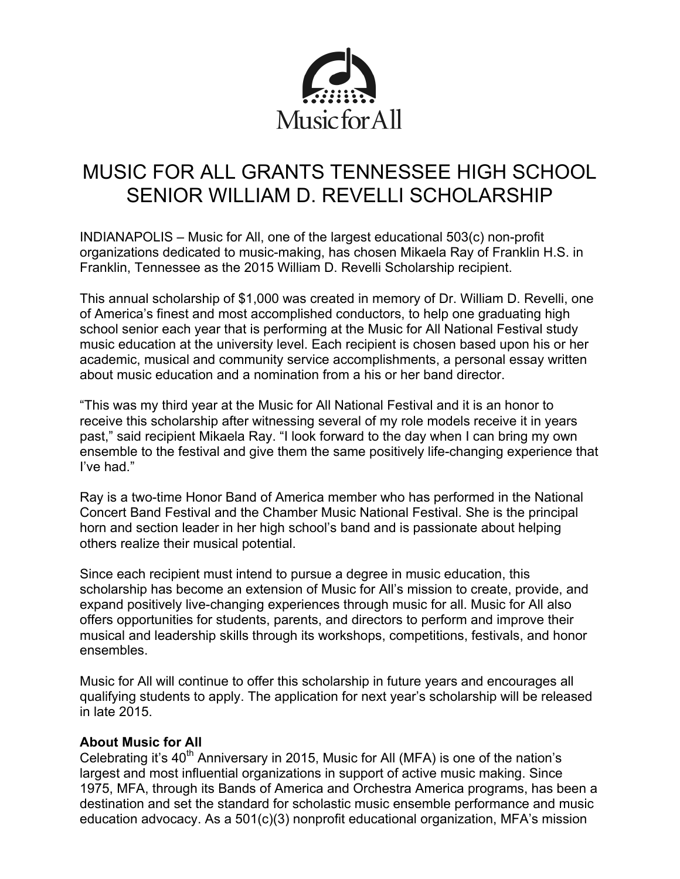

# MUSIC FOR ALL GRANTS TENNESSEE HIGH SCHOOL SENIOR WILLIAM D. REVELLI SCHOLARSHIP

INDIANAPOLIS – Music for All, one of the largest educational 503(c) non-profit organizations dedicated to music-making, has chosen Mikaela Ray of Franklin H.S. in Franklin, Tennessee as the 2015 William D. Revelli Scholarship recipient.

This annual scholarship of \$1,000 was created in memory of Dr. William D. Revelli, one of America's finest and most accomplished conductors, to help one graduating high school senior each year that is performing at the Music for All National Festival study music education at the university level. Each recipient is chosen based upon his or her academic, musical and community service accomplishments, a personal essay written about music education and a nomination from a his or her band director.

"This was my third year at the Music for All National Festival and it is an honor to receive this scholarship after witnessing several of my role models receive it in years past," said recipient Mikaela Ray. "I look forward to the day when I can bring my own ensemble to the festival and give them the same positively life-changing experience that I've had."

Ray is a two-time Honor Band of America member who has performed in the National Concert Band Festival and the Chamber Music National Festival. She is the principal horn and section leader in her high school's band and is passionate about helping others realize their musical potential.

Since each recipient must intend to pursue a degree in music education, this scholarship has become an extension of Music for All's mission to create, provide, and expand positively live-changing experiences through music for all. Music for All also offers opportunities for students, parents, and directors to perform and improve their musical and leadership skills through its workshops, competitions, festivals, and honor ensembles.

Music for All will continue to offer this scholarship in future years and encourages all qualifying students to apply. The application for next year's scholarship will be released in late 2015.

## **About Music for All**

Celebrating it's  $40<sup>th</sup>$  Anniversary in 2015. Music for All (MFA) is one of the nation's largest and most influential organizations in support of active music making. Since 1975, MFA, through its Bands of America and Orchestra America programs, has been a destination and set the standard for scholastic music ensemble performance and music education advocacy. As a 501(c)(3) nonprofit educational organization, MFA's mission